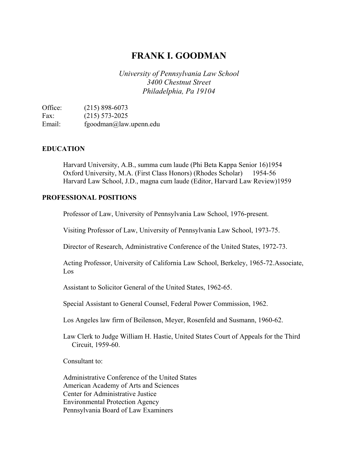# **FRANK I. GOODMAN**

*University of Pennsylvania Law School 3400 Chestnut Street Philadelphia, Pa 19104*

Office: (215) 898-6073 Fax: (215) 573-2025 Email: fgoodman@law.upenn.edu

## **EDUCATION**

Harvard University, A.B., summa cum laude (Phi Beta Kappa Senior 16)1954 Oxford University, M.A. (First Class Honors) (Rhodes Scholar) 1954-56 Harvard Law School, J.D., magna cum laude (Editor, Harvard Law Review)1959

### **PROFESSIONAL POSITIONS**

Professor of Law, University of Pennsylvania Law School, 1976-present.

Visiting Professor of Law, University of Pennsylvania Law School, 1973-75.

Director of Research, Administrative Conference of the United States, 1972-73.

Acting Professor, University of California Law School, Berkeley, 1965-72.Associate, Los

Assistant to Solicitor General of the United States, 1962-65.

Special Assistant to General Counsel, Federal Power Commission, 1962.

Los Angeles law firm of Beilenson, Meyer, Rosenfeld and Susmann, 1960-62.

Law Clerk to Judge William H. Hastie, United States Court of Appeals for the Third Circuit, 1959-60.

Consultant to:

 Administrative Conference of the United States American Academy of Arts and Sciences Center for Administrative Justice Environmental Protection Agency Pennsylvania Board of Law Examiners